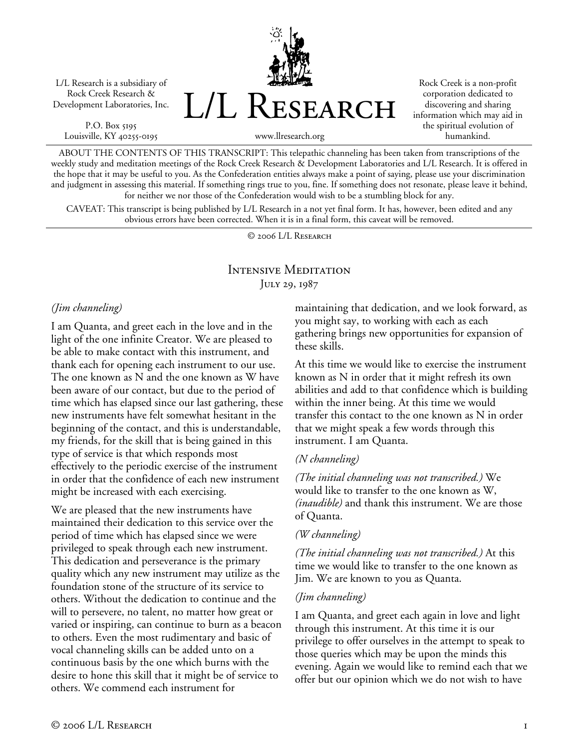L/L Research is a subsidiary of Rock Creek Research & Development Laboratories, Inc.

P.O. Box 5195 Louisville, KY 40255-0195 L/L Research

Rock Creek is a non-profit corporation dedicated to discovering and sharing information which may aid in the spiritual evolution of humankind.

www.llresearch.org

ABOUT THE CONTENTS OF THIS TRANSCRIPT: This telepathic channeling has been taken from transcriptions of the weekly study and meditation meetings of the Rock Creek Research & Development Laboratories and L/L Research. It is offered in the hope that it may be useful to you. As the Confederation entities always make a point of saying, please use your discrimination and judgment in assessing this material. If something rings true to you, fine. If something does not resonate, please leave it behind, for neither we nor those of the Confederation would wish to be a stumbling block for any.

CAVEAT: This transcript is being published by L/L Research in a not yet final form. It has, however, been edited and any obvious errors have been corrected. When it is in a final form, this caveat will be removed.

© 2006 L/L Research

# Intensive Meditation JULY 29, 1987

## *(Jim channeling)*

I am Quanta, and greet each in the love and in the light of the one infinite Creator. We are pleased to be able to make contact with this instrument, and thank each for opening each instrument to our use. The one known as N and the one known as W have been aware of our contact, but due to the period of time which has elapsed since our last gathering, these new instruments have felt somewhat hesitant in the beginning of the contact, and this is understandable, my friends, for the skill that is being gained in this type of service is that which responds most effectively to the periodic exercise of the instrument in order that the confidence of each new instrument might be increased with each exercising.

We are pleased that the new instruments have maintained their dedication to this service over the period of time which has elapsed since we were privileged to speak through each new instrument. This dedication and perseverance is the primary quality which any new instrument may utilize as the foundation stone of the structure of its service to others. Without the dedication to continue and the will to persevere, no talent, no matter how great or varied or inspiring, can continue to burn as a beacon to others. Even the most rudimentary and basic of vocal channeling skills can be added unto on a continuous basis by the one which burns with the desire to hone this skill that it might be of service to others. We commend each instrument for

maintaining that dedication, and we look forward, as you might say, to working with each as each gathering brings new opportunities for expansion of these skills.

At this time we would like to exercise the instrument known as N in order that it might refresh its own abilities and add to that confidence which is building within the inner being. At this time we would transfer this contact to the one known as N in order that we might speak a few words through this instrument. I am Quanta.

## *(N channeling)*

*(The initial channeling was not transcribed.)* We would like to transfer to the one known as W, *(inaudible)* and thank this instrument. We are those of Quanta.

## *(W channeling)*

*(The initial channeling was not transcribed.)* At this time we would like to transfer to the one known as Jim. We are known to you as Quanta.

### *(Jim channeling)*

I am Quanta, and greet each again in love and light through this instrument. At this time it is our privilege to offer ourselves in the attempt to speak to those queries which may be upon the minds this evening. Again we would like to remind each that we offer but our opinion which we do not wish to have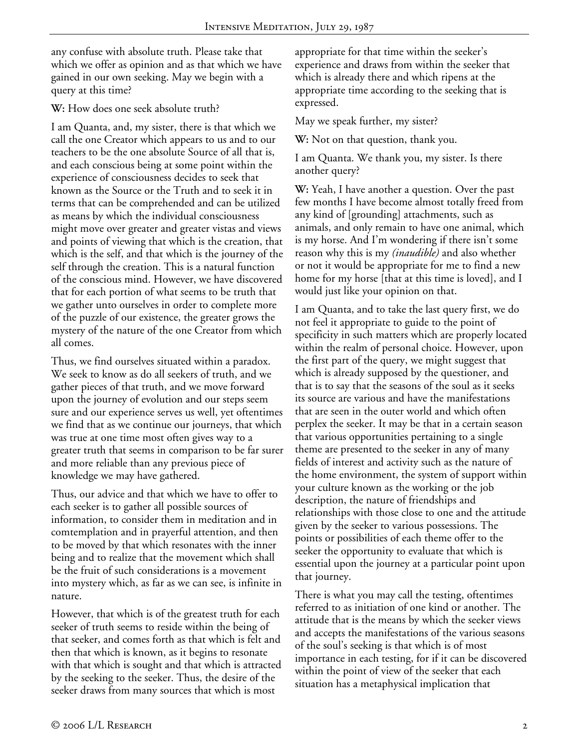any confuse with absolute truth. Please take that which we offer as opinion and as that which we have gained in our own seeking. May we begin with a query at this time?

**W:** How does one seek absolute truth?

I am Quanta, and, my sister, there is that which we call the one Creator which appears to us and to our teachers to be the one absolute Source of all that is, and each conscious being at some point within the experience of consciousness decides to seek that known as the Source or the Truth and to seek it in terms that can be comprehended and can be utilized as means by which the individual consciousness might move over greater and greater vistas and views and points of viewing that which is the creation, that which is the self, and that which is the journey of the self through the creation. This is a natural function of the conscious mind. However, we have discovered that for each portion of what seems to be truth that we gather unto ourselves in order to complete more of the puzzle of our existence, the greater grows the mystery of the nature of the one Creator from which all comes.

Thus, we find ourselves situated within a paradox. We seek to know as do all seekers of truth, and we gather pieces of that truth, and we move forward upon the journey of evolution and our steps seem sure and our experience serves us well, yet oftentimes we find that as we continue our journeys, that which was true at one time most often gives way to a greater truth that seems in comparison to be far surer and more reliable than any previous piece of knowledge we may have gathered.

Thus, our advice and that which we have to offer to each seeker is to gather all possible sources of information, to consider them in meditation and in comtemplation and in prayerful attention, and then to be moved by that which resonates with the inner being and to realize that the movement which shall be the fruit of such considerations is a movement into mystery which, as far as we can see, is infinite in nature.

However, that which is of the greatest truth for each seeker of truth seems to reside within the being of that seeker, and comes forth as that which is felt and then that which is known, as it begins to resonate with that which is sought and that which is attracted by the seeking to the seeker. Thus, the desire of the seeker draws from many sources that which is most

appropriate for that time within the seeker's experience and draws from within the seeker that which is already there and which ripens at the appropriate time according to the seeking that is expressed.

May we speak further, my sister?

**W:** Not on that question, thank you.

I am Quanta. We thank you, my sister. Is there another query?

**W:** Yeah, I have another a question. Over the past few months I have become almost totally freed from any kind of [grounding] attachments, such as animals, and only remain to have one animal, which is my horse. And I'm wondering if there isn't some reason why this is my *(inaudible)* and also whether or not it would be appropriate for me to find a new home for my horse [that at this time is loved], and I would just like your opinion on that.

I am Quanta, and to take the last query first, we do not feel it appropriate to guide to the point of specificity in such matters which are properly located within the realm of personal choice. However, upon the first part of the query, we might suggest that which is already supposed by the questioner, and that is to say that the seasons of the soul as it seeks its source are various and have the manifestations that are seen in the outer world and which often perplex the seeker. It may be that in a certain season that various opportunities pertaining to a single theme are presented to the seeker in any of many fields of interest and activity such as the nature of the home environment, the system of support within your culture known as the working or the job description, the nature of friendships and relationships with those close to one and the attitude given by the seeker to various possessions. The points or possibilities of each theme offer to the seeker the opportunity to evaluate that which is essential upon the journey at a particular point upon that journey.

There is what you may call the testing, oftentimes referred to as initiation of one kind or another. The attitude that is the means by which the seeker views and accepts the manifestations of the various seasons of the soul's seeking is that which is of most importance in each testing, for if it can be discovered within the point of view of the seeker that each situation has a metaphysical implication that